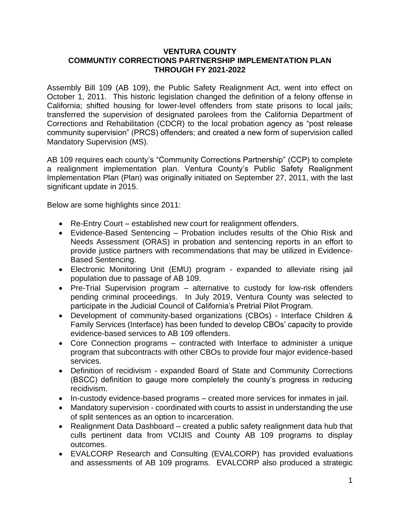#### **VENTURA COUNTY COMMUNTIY CORRECTIONS PARTNERSHIP IMPLEMENTATION PLAN THROUGH FY 2021-2022**

Assembly Bill 109 (AB 109), the Public Safety Realignment Act, went into effect on October 1, 2011. This historic legislation changed the definition of a felony offense in California; shifted housing for lower-level offenders from state prisons to local jails; transferred the supervision of designated parolees from the California Department of Corrections and Rehabilitation (CDCR) to the local probation agency as "post release community supervision" (PRCS) offenders; and created a new form of supervision called Mandatory Supervision (MS).

AB 109 requires each county's "Community Corrections Partnership" (CCP) to complete a realignment implementation plan. Ventura County's Public Safety Realignment Implementation Plan (Plan) was originally initiated on September 27, 2011, with the last significant update in 2015.

Below are some highlights since 2011:

- Re-Entry Court established new court for realignment offenders.
- Evidence-Based Sentencing Probation includes results of the Ohio Risk and Needs Assessment (ORAS) in probation and sentencing reports in an effort to provide justice partners with recommendations that may be utilized in Evidence-Based Sentencing.
- Electronic Monitoring Unit (EMU) program expanded to alleviate rising jail population due to passage of AB 109.
- Pre-Trial Supervision program alternative to custody for low-risk offenders pending criminal proceedings. In July 2019, Ventura County was selected to participate in the Judicial Council of California's Pretrial Pilot Program.
- Development of community-based organizations (CBOs) Interface Children & Family Services (Interface) has been funded to develop CBOs' capacity to provide evidence-based services to AB 109 offenders.
- Core Connection programs contracted with Interface to administer a unique program that subcontracts with other CBOs to provide four major evidence-based services.
- Definition of recidivism expanded Board of State and Community Corrections (BSCC) definition to gauge more completely the county's progress in reducing recidivism.
- In-custody evidence-based programs created more services for inmates in jail.
- Mandatory supervision coordinated with courts to assist in understanding the use of split sentences as an option to incarceration.
- Realignment Data Dashboard created a public safety realignment data hub that culls pertinent data from VCIJIS and County AB 109 programs to display outcomes.
- EVALCORP Research and Consulting (EVALCORP) has provided evaluations and assessments of AB 109 programs. EVALCORP also produced a strategic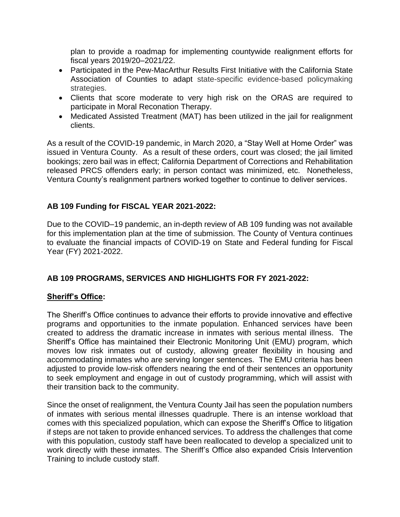plan to provide a roadmap for implementing countywide realignment efforts for fiscal years 2019/20–2021/22.

- Participated in the Pew-MacArthur Results First Initiative with the California State Association of Counties to adapt state-specific evidence-based policymaking strategies.
- Clients that score moderate to very high risk on the ORAS are required to participate in Moral Reconation Therapy.
- Medicated Assisted Treatment (MAT) has been utilized in the jail for realignment clients.

As a result of the COVID-19 pandemic, in March 2020, a "Stay Well at Home Order" was issued in Ventura County. As a result of these orders, court was closed; the jail limited bookings; zero bail was in effect; California Department of Corrections and Rehabilitation released PRCS offenders early; in person contact was minimized, etc. Nonetheless, Ventura County's realignment partners worked together to continue to deliver services.

# **AB 109 Funding for FISCAL YEAR 2021-2022:**

Due to the COVID–19 pandemic, an in-depth review of AB 109 funding was not available for this implementation plan at the time of submission. The County of Ventura continues to evaluate the financial impacts of COVID-19 on State and Federal funding for Fiscal Year (FY) 2021-2022.

## **AB 109 PROGRAMS, SERVICES AND HIGHLIGHTS FOR FY 2021-2022:**

## **Sheriff's Office:**

The Sheriff's Office continues to advance their efforts to provide innovative and effective programs and opportunities to the inmate population. Enhanced services have been created to address the dramatic increase in inmates with serious mental illness. The Sheriff's Office has maintained their Electronic Monitoring Unit (EMU) program, which moves low risk inmates out of custody, allowing greater flexibility in housing and accommodating inmates who are serving longer sentences. The EMU criteria has been adjusted to provide low-risk offenders nearing the end of their sentences an opportunity to seek employment and engage in out of custody programming, which will assist with their transition back to the community.

Since the onset of realignment, the Ventura County Jail has seen the population numbers of inmates with serious mental illnesses quadruple. There is an intense workload that comes with this specialized population, which can expose the Sheriff's Office to litigation if steps are not taken to provide enhanced services. To address the challenges that come with this population, custody staff have been reallocated to develop a specialized unit to work directly with these inmates. The Sheriff's Office also expanded Crisis Intervention Training to include custody staff.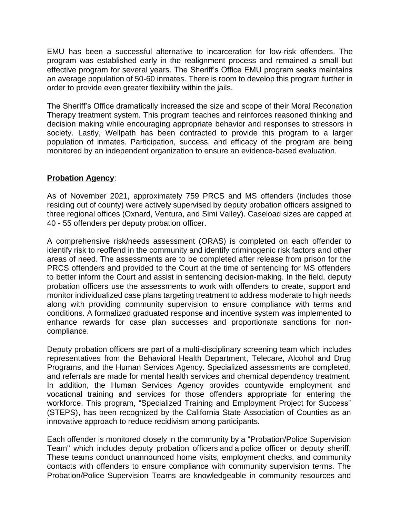EMU has been a successful alternative to incarceration for low-risk offenders. The program was established early in the realignment process and remained a small but effective program for several years. The Sheriff's Office EMU program seeks maintains an average population of 50-60 inmates. There is room to develop this program further in order to provide even greater flexibility within the jails.

The Sheriff's Office dramatically increased the size and scope of their Moral Reconation Therapy treatment system. This program teaches and reinforces reasoned thinking and decision making while encouraging appropriate behavior and responses to stressors in society. Lastly, Wellpath has been contracted to provide this program to a larger population of inmates. Participation, success, and efficacy of the program are being monitored by an independent organization to ensure an evidence-based evaluation.

## **Probation Agency**:

As of November 2021, approximately 759 PRCS and MS offenders (includes those residing out of county) were actively supervised by deputy probation officers assigned to three regional offices (Oxnard, Ventura, and Simi Valley). Caseload sizes are capped at 40 - 55 offenders per deputy probation officer.

A comprehensive risk/needs assessment (ORAS) is completed on each offender to identify risk to reoffend in the community and identify criminogenic risk factors and other areas of need. The assessments are to be completed after release from prison for the PRCS offenders and provided to the Court at the time of sentencing for MS offenders to better inform the Court and assist in sentencing decision-making. In the field, deputy probation officers use the assessments to work with offenders to create, support and monitor individualized case plans targeting treatment to address moderate to high needs along with providing community supervision to ensure compliance with terms and conditions. A formalized graduated response and incentive system was implemented to enhance rewards for case plan successes and proportionate sanctions for noncompliance.

Deputy probation officers are part of a multi-disciplinary screening team which includes representatives from the Behavioral Health Department, Telecare, Alcohol and Drug Programs, and the Human Services Agency. Specialized assessments are completed, and referrals are made for mental health services and chemical dependency treatment. In addition, the Human Services Agency provides countywide employment and vocational training and services for those offenders appropriate for entering the workforce. This program, "Specialized Training and Employment Project for Success" (STEPS), has been recognized by the California State Association of Counties as an innovative approach to reduce recidivism among participants.

Each offender is monitored closely in the community by a "Probation/Police Supervision Team" which includes deputy probation officers and a police officer or deputy sheriff. These teams conduct unannounced home visits, employment checks, and community contacts with offenders to ensure compliance with community supervision terms. The Probation/Police Supervision Teams are knowledgeable in community resources and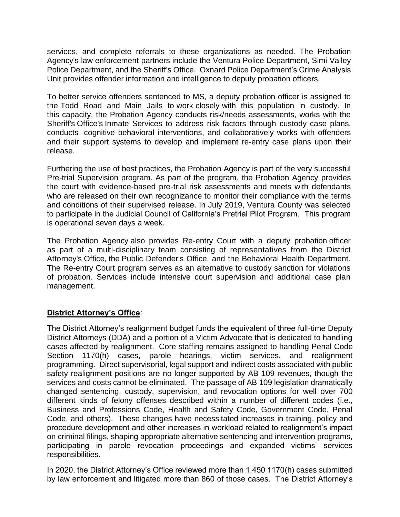services, and complete referrals to these organizations as needed. The Probation Agency's law enforcement partners include the Ventura Police Department, Simi Valley Police Department, and the Sheriff's Office. Oxnard Police Department's Crime Analysis Unit provides offender information and intelligence to deputy probation officers.

To better service offenders sentenced to MS, a deputy probation officer is assigned to the Todd Road and Main Jails to work closely with this population in custody. In this capacity, the Probation Agency conducts risk/needs assessments, works with the Sheriff's Office's Inmate Services to address risk factors through custody case plans, conducts cognitive behavioral interventions, and collaboratively works with offenders and their support systems to develop and implement re-entry case plans upon their release.

Furthering the use of best practices, the Probation Agency is part of the very successful Pre-trial Supervision program. As part of the program, the Probation Agency provides the court with evidence-based pre-trial risk assessments and meets with defendants who are released on their own recognizance to monitor their compliance with the terms and conditions of their supervised release. In July 2019, Ventura County was selected to participate in the Judicial Council of California's Pretrial Pilot Program. This program is operational seven days a week.

The Probation Agency also provides Re-entry Court with a deputy probation officer as part of a multi-disciplinary team consisting of representatives from the District Attorney's Office, the Public Defender's Office, and the Behavioral Health Department. The Re-entry Court program serves as an alternative to custody sanction for violations of probation. Services include intensive court supervision and additional case plan management.

#### **District Attorney's Office**:

The District Attorney's realignment budget funds the equivalent of three full-time Deputy District Attorneys (DDA) and a portion of a Victim Advocate that is dedicated to handling cases affected by realignment. Core staffing remains assigned to handling Penal Code Section 1170(h) cases, parole hearings, victim services, and realignment programming. Direct supervisorial, legal support and indirect costs associated with public safety realignment positions are no longer supported by AB 109 revenues, though the services and costs cannot be eliminated. The passage of AB 109 legislation dramatically changed sentencing, custody, supervision, and revocation options for well over 700 different kinds of felony offenses described within a number of different codes (i.e., Business and Professions Code, Health and Safety Code, Government Code, Penal Code, and others). These changes have necessitated increases in training, policy and procedure development and other increases in workload related to realignment's impact on criminal filings, shaping appropriate alternative sentencing and intervention programs, participating in parole revocation proceedings and expanded victims' services responsibilities.

In 2020, the District Attorney's Office reviewed more than 1,450 1170(h) cases submitted by law enforcement and litigated more than 860 of those cases. The District Attorney's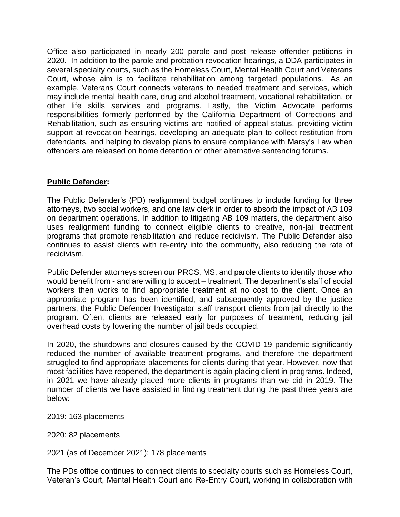Office also participated in nearly 200 parole and post release offender petitions in 2020. In addition to the parole and probation revocation hearings, a DDA participates in several specialty courts, such as the Homeless Court, Mental Health Court and Veterans Court, whose aim is to facilitate rehabilitation among targeted populations. As an example, Veterans Court connects veterans to needed treatment and services, which may include mental health care, drug and alcohol treatment, vocational rehabilitation, or other life skills services and programs. Lastly, the Victim Advocate performs responsibilities formerly performed by the California Department of Corrections and Rehabilitation, such as ensuring victims are notified of appeal status, providing victim support at revocation hearings, developing an adequate plan to collect restitution from defendants, and helping to develop plans to ensure compliance with Marsy's Law when offenders are released on home detention or other alternative sentencing forums.

### **Public Defender:**

The Public Defender's (PD) realignment budget continues to include funding for three attorneys, two social workers, and one law clerk in order to absorb the impact of AB 109 on department operations. In addition to litigating AB 109 matters, the department also uses realignment funding to connect eligible clients to creative, non-jail treatment programs that promote rehabilitation and reduce recidivism. The Public Defender also continues to assist clients with re-entry into the community, also reducing the rate of recidivism.

Public Defender attorneys screen our PRCS, MS, and parole clients to identify those who would benefit from - and are willing to accept – treatment. The department's staff of social workers then works to find appropriate treatment at no cost to the client. Once an appropriate program has been identified, and subsequently approved by the justice partners, the Public Defender Investigator staff transport clients from jail directly to the program. Often, clients are released early for purposes of treatment, reducing jail overhead costs by lowering the number of jail beds occupied.

In 2020, the shutdowns and closures caused by the COVID-19 pandemic significantly reduced the number of available treatment programs, and therefore the department struggled to find appropriate placements for clients during that year. However, now that most facilities have reopened, the department is again placing client in programs. Indeed, in 2021 we have already placed more clients in programs than we did in 2019. The number of clients we have assisted in finding treatment during the past three years are below:

2019: 163 placements

2020: 82 placements

2021 (as of December 2021): 178 placements

The PDs office continues to connect clients to specialty courts such as Homeless Court, Veteran's Court, Mental Health Court and Re-Entry Court, working in collaboration with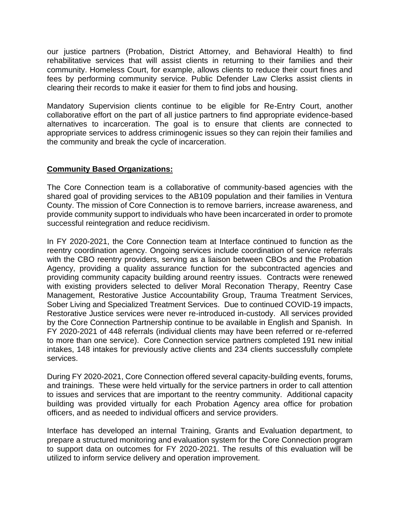our justice partners (Probation, District Attorney, and Behavioral Health) to find rehabilitative services that will assist clients in returning to their families and their community. Homeless Court, for example, allows clients to reduce their court fines and fees by performing community service. Public Defender Law Clerks assist clients in clearing their records to make it easier for them to find jobs and housing.

Mandatory Supervision clients continue to be eligible for Re-Entry Court, another collaborative effort on the part of all justice partners to find appropriate evidence-based alternatives to incarceration. The goal is to ensure that clients are connected to appropriate services to address criminogenic issues so they can rejoin their families and the community and break the cycle of incarceration.

### **Community Based Organizations:**

The Core Connection team is a collaborative of community-based agencies with the shared goal of providing services to the AB109 population and their families in Ventura County. The mission of Core Connection is to remove barriers, increase awareness, and provide community support to individuals who have been incarcerated in order to promote successful reintegration and reduce recidivism.

In FY 2020-2021, the Core Connection team at Interface continued to function as the reentry coordination agency. Ongoing services include coordination of service referrals with the CBO reentry providers, serving as a liaison between CBOs and the Probation Agency, providing a quality assurance function for the subcontracted agencies and providing community capacity building around reentry issues. Contracts were renewed with existing providers selected to deliver Moral Reconation Therapy, Reentry Case Management, Restorative Justice Accountability Group, Trauma Treatment Services, Sober Living and Specialized Treatment Services. Due to continued COVID-19 impacts, Restorative Justice services were never re-introduced in-custody. All services provided by the Core Connection Partnership continue to be available in English and Spanish. In FY 2020-2021 of 448 referrals (individual clients may have been referred or re-referred to more than one service). Core Connection service partners completed 191 new initial intakes, 148 intakes for previously active clients and 234 clients successfully complete services.

During FY 2020-2021, Core Connection offered several capacity-building events, forums, and trainings. These were held virtually for the service partners in order to call attention to issues and services that are important to the reentry community. Additional capacity building was provided virtually for each Probation Agency area office for probation officers, and as needed to individual officers and service providers.

Interface has developed an internal Training, Grants and Evaluation department, to prepare a structured monitoring and evaluation system for the Core Connection program to support data on outcomes for FY 2020-2021. The results of this evaluation will be utilized to inform service delivery and operation improvement.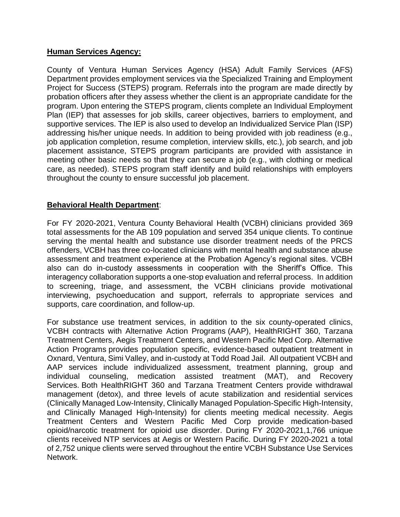#### **Human Services Agency:**

County of Ventura Human Services Agency (HSA) Adult Family Services (AFS) Department provides employment services via the Specialized Training and Employment Project for Success (STEPS) program. Referrals into the program are made directly by probation officers after they assess whether the client is an appropriate candidate for the program. Upon entering the STEPS program, clients complete an Individual Employment Plan (IEP) that assesses for job skills, career objectives, barriers to employment, and supportive services. The IEP is also used to develop an Individualized Service Plan (ISP) addressing his/her unique needs. In addition to being provided with job readiness (e.g., job application completion, resume completion, interview skills, etc.), job search, and job placement assistance, STEPS program participants are provided with assistance in meeting other basic needs so that they can secure a job (e.g., with clothing or medical care, as needed). STEPS program staff identify and build relationships with employers throughout the county to ensure successful job placement.

### **Behavioral Health Department**:

For FY 2020-2021, Ventura County Behavioral Health (VCBH) clinicians provided 369 total assessments for the AB 109 population and served 354 unique clients. To continue serving the mental health and substance use disorder treatment needs of the PRCS offenders, VCBH has three co-located clinicians with mental health and substance abuse assessment and treatment experience at the Probation Agency's regional sites. VCBH also can do in-custody assessments in cooperation with the Sheriff's Office. This interagency collaboration supports a one-stop evaluation and referral process. In addition to screening, triage, and assessment, the VCBH clinicians provide motivational interviewing, psychoeducation and support, referrals to appropriate services and supports, care coordination, and follow-up.

For substance use treatment services, in addition to the six county-operated clinics, VCBH contracts with Alternative Action Programs (AAP), HealthRIGHT 360, Tarzana Treatment Centers, Aegis Treatment Centers, and Western Pacific Med Corp. Alternative Action Programs provides population specific, evidence-based outpatient treatment in Oxnard, Ventura, Simi Valley, and in-custody at Todd Road Jail. All outpatient VCBH and AAP services include individualized assessment, treatment planning, group and individual counseling, medication assisted treatment (MAT), and Recovery Services. Both HealthRIGHT 360 and Tarzana Treatment Centers provide withdrawal management (detox), and three levels of acute stabilization and residential services (Clinically Managed Low-Intensity, Clinically Managed Population-Specific High-Intensity, and Clinically Managed High-Intensity) for clients meeting medical necessity. Aegis Treatment Centers and Western Pacific Med Corp provide medication-based opioid/narcotic treatment for opioid use disorder. During FY 2020-2021,1,766 unique clients received NTP services at Aegis or Western Pacific. During FY 2020-2021 a total of 2,752 unique clients were served throughout the entire VCBH Substance Use Services Network.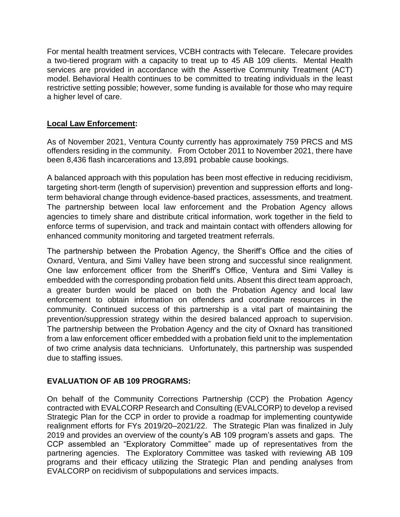For mental health treatment services, VCBH contracts with Telecare. Telecare provides a two-tiered program with a capacity to treat up to 45 AB 109 clients. Mental Health services are provided in accordance with the Assertive Community Treatment (ACT) model. Behavioral Health continues to be committed to treating individuals in the least restrictive setting possible; however, some funding is available for those who may require a higher level of care.

# **Local Law Enforcement:**

As of November 2021, Ventura County currently has approximately 759 PRCS and MS offenders residing in the community. From October 2011 to November 2021, there have been 8,436 flash incarcerations and 13,891 probable cause bookings.

A balanced approach with this population has been most effective in reducing recidivism, targeting short-term (length of supervision) prevention and suppression efforts and longterm behavioral change through evidence-based practices, assessments, and treatment. The partnership between local law enforcement and the Probation Agency allows agencies to timely share and distribute critical information, work together in the field to enforce terms of supervision, and track and maintain contact with offenders allowing for enhanced community monitoring and targeted treatment referrals.

The partnership between the Probation Agency, the Sheriff's Office and the cities of Oxnard, Ventura, and Simi Valley have been strong and successful since realignment. One law enforcement officer from the Sheriff's Office, Ventura and Simi Valley is embedded with the corresponding probation field units. Absent this direct team approach, a greater burden would be placed on both the Probation Agency and local law enforcement to obtain information on offenders and coordinate resources in the community. Continued success of this partnership is a vital part of maintaining the prevention/suppression strategy within the desired balanced approach to supervision. The partnership between the Probation Agency and the city of Oxnard has transitioned from a law enforcement officer embedded with a probation field unit to the implementation of two crime analysis data technicians. Unfortunately, this partnership was suspended due to staffing issues.

## **EVALUATION OF AB 109 PROGRAMS:**

On behalf of the Community Corrections Partnership (CCP) the Probation Agency contracted with EVALCORP Research and Consulting (EVALCORP) to develop a revised Strategic Plan for the CCP in order to provide a roadmap for implementing countywide realignment efforts for FYs 2019/20–2021/22. The Strategic Plan was finalized in July 2019 and provides an overview of the county's AB 109 program's assets and gaps. The CCP assembled an "Exploratory Committee" made up of representatives from the partnering agencies. The Exploratory Committee was tasked with reviewing AB 109 programs and their efficacy utilizing the Strategic Plan and pending analyses from EVALCORP on recidivism of subpopulations and services impacts.